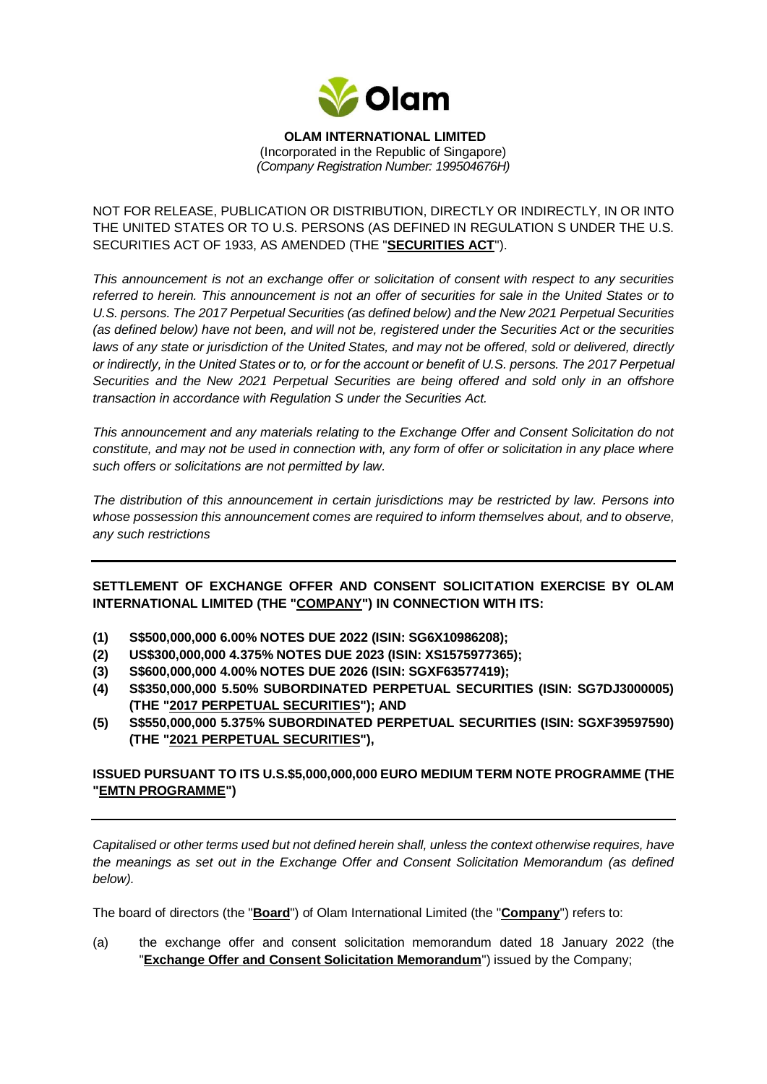

### **OLAM INTERNATIONAL LIMITED**  (Incorporated in the Republic of Singapore) *(Company Registration Number: 199504676H)*

# NOT FOR RELEASE, PUBLICATION OR DISTRIBUTION, DIRECTLY OR INDIRECTLY, IN OR INTO THE UNITED STATES OR TO U.S. PERSONS (AS DEFINED IN REGULATION S UNDER THE U.S. SECURITIES ACT OF 1933, AS AMENDED (THE "**SECURITIES ACT**").

*This announcement is not an exchange offer or solicitation of consent with respect to any securities referred to herein. This announcement is not an offer of securities for sale in the United States or to U.S. persons. The 2017 Perpetual Securities (as defined below) and the New 2021 Perpetual Securities (as defined below) have not been, and will not be, registered under the Securities Act or the securities laws of any state or jurisdiction of the United States, and may not be offered, sold or delivered, directly or indirectly, in the United States or to, or for the account or benefit of U.S. persons. The 2017 Perpetual Securities and the New 2021 Perpetual Securities are being offered and sold only in an offshore transaction in accordance with Regulation S under the Securities Act.* 

*This announcement and any materials relating to the Exchange Offer and Consent Solicitation do not constitute, and may not be used in connection with, any form of offer or solicitation in any place where such offers or solicitations are not permitted by law.* 

*The distribution of this announcement in certain jurisdictions may be restricted by law. Persons into whose possession this announcement comes are required to inform themselves about, and to observe, any such restrictions*

**SETTLEMENT OF EXCHANGE OFFER AND CONSENT SOLICITATION EXERCISE BY OLAM INTERNATIONAL LIMITED (THE "COMPANY") IN CONNECTION WITH ITS:** 

- **(1) S\$500,000,000 6.00% NOTES DUE 2022 (ISIN: SG6X10986208);**
- **(2) US\$300,000,000 4.375% NOTES DUE 2023 (ISIN: XS1575977365);**
- **(3) S\$600,000,000 4.00% NOTES DUE 2026 (ISIN: SGXF63577419);**
- **(4) S\$350,000,000 5.50% SUBORDINATED PERPETUAL SECURITIES (ISIN: SG7DJ3000005) (THE "2017 PERPETUAL SECURITIES"); AND**
- **(5) S\$550,000,000 5.375% SUBORDINATED PERPETUAL SECURITIES (ISIN: SGXF39597590) (THE "2021 PERPETUAL SECURITIES"),**

# **ISSUED PURSUANT TO ITS U.S.\$5,000,000,000 EURO MEDIUM TERM NOTE PROGRAMME (THE "EMTN PROGRAMME")**

*Capitalised or other terms used but not defined herein shall, unless the context otherwise requires, have the meanings as set out in the Exchange Offer and Consent Solicitation Memorandum (as defined below).*

The board of directors (the "**Board**") of Olam International Limited (the "**Company**") refers to:

(a) the exchange offer and consent solicitation memorandum dated 18 January 2022 (the "**Exchange Offer and Consent Solicitation Memorandum**") issued by the Company;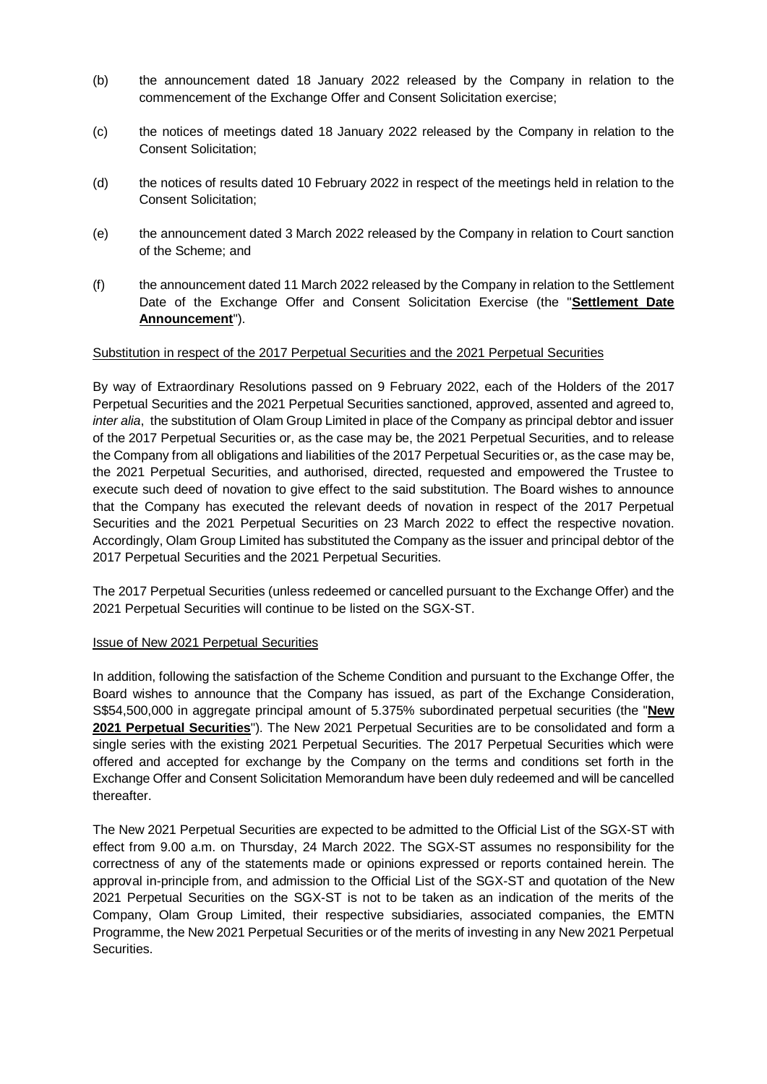- (b) the announcement dated 18 January 2022 released by the Company in relation to the commencement of the Exchange Offer and Consent Solicitation exercise;
- (c) the notices of meetings dated 18 January 2022 released by the Company in relation to the Consent Solicitation;
- (d) the notices of results dated 10 February 2022 in respect of the meetings held in relation to the Consent Solicitation;
- (e) the announcement dated 3 March 2022 released by the Company in relation to Court sanction of the Scheme; and
- (f) the announcement dated 11 March 2022 released by the Company in relation to the Settlement Date of the Exchange Offer and Consent Solicitation Exercise (the "**Settlement Date Announcement**").

### Substitution in respect of the 2017 Perpetual Securities and the 2021 Perpetual Securities

By way of Extraordinary Resolutions passed on 9 February 2022, each of the Holders of the 2017 Perpetual Securities and the 2021 Perpetual Securities sanctioned, approved, assented and agreed to, *inter alia*, the substitution of Olam Group Limited in place of the Company as principal debtor and issuer of the 2017 Perpetual Securities or, as the case may be, the 2021 Perpetual Securities, and to release the Company from all obligations and liabilities of the 2017 Perpetual Securities or, as the case may be, the 2021 Perpetual Securities, and authorised, directed, requested and empowered the Trustee to execute such deed of novation to give effect to the said substitution. The Board wishes to announce that the Company has executed the relevant deeds of novation in respect of the 2017 Perpetual Securities and the 2021 Perpetual Securities on 23 March 2022 to effect the respective novation. Accordingly, Olam Group Limited has substituted the Company as the issuer and principal debtor of the 2017 Perpetual Securities and the 2021 Perpetual Securities.

The 2017 Perpetual Securities (unless redeemed or cancelled pursuant to the Exchange Offer) and the 2021 Perpetual Securities will continue to be listed on the SGX-ST.

### Issue of New 2021 Perpetual Securities

In addition, following the satisfaction of the Scheme Condition and pursuant to the Exchange Offer, the Board wishes to announce that the Company has issued, as part of the Exchange Consideration, S\$54,500,000 in aggregate principal amount of 5.375% subordinated perpetual securities (the "**New 2021 Perpetual Securities**"). The New 2021 Perpetual Securities are to be consolidated and form a single series with the existing 2021 Perpetual Securities. The 2017 Perpetual Securities which were offered and accepted for exchange by the Company on the terms and conditions set forth in the Exchange Offer and Consent Solicitation Memorandum have been duly redeemed and will be cancelled thereafter.

The New 2021 Perpetual Securities are expected to be admitted to the Official List of the SGX-ST with effect from 9.00 a.m. on Thursday, 24 March 2022. The SGX-ST assumes no responsibility for the correctness of any of the statements made or opinions expressed or reports contained herein. The approval in-principle from, and admission to the Official List of the SGX-ST and quotation of the New 2021 Perpetual Securities on the SGX-ST is not to be taken as an indication of the merits of the Company, Olam Group Limited, their respective subsidiaries, associated companies, the EMTN Programme, the New 2021 Perpetual Securities or of the merits of investing in any New 2021 Perpetual Securities.